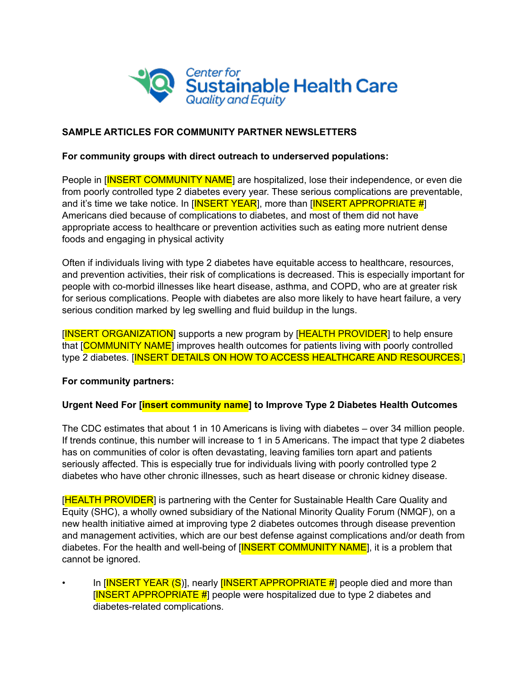

## **SAMPLE ARTICLES FOR COMMUNITY PARTNER NEWSLETTERS**

## **For community groups with direct outreach to underserved populations:**

People in [INSERT COMMUNITY NAME] are hospitalized, lose their independence, or even die from poorly controlled type 2 diabetes every year. These serious complications are preventable, and it's time we take notice. In  $[INSERT YEAR]$ , more than  $[INSERT APPROPRIATE #]$ Americans died because of complications to diabetes, and most of them did not have appropriate access to healthcare or prevention activities such as eating more nutrient dense foods and engaging in physical activity

Often if individuals living with type 2 diabetes have equitable access to healthcare, resources, and prevention activities, their risk of complications is decreased. This is especially important for people with co-morbid illnesses like heart disease, asthma, and COPD, who are at greater risk for serious complications. People with diabetes are also more likely to have heart failure, a very serious condition marked by leg swelling and fluid buildup in the lungs.

[INSERT ORGANIZATION] supports a new program by [HEALTH PROVIDER] to help ensure that **[COMMUNITY NAME**] improves health outcomes for patients living with poorly controlled type 2 diabetes. [INSERT DETAILS ON HOW TO ACCESS HEALTHCARE AND RESOURCES.]

## **For community partners:**

## **Urgent Need For [insert community name] to Improve Type 2 Diabetes Health Outcomes**

The CDC estimates that about 1 in 10 Americans is living with diabetes – over 34 million people. If trends continue, this number will increase to 1 in 5 Americans. The impact that type 2 diabetes has on communities of color is often devastating, leaving families torn apart and patients seriously affected. This is especially true for individuals living with poorly controlled type 2 diabetes who have other chronic illnesses, such as heart disease or chronic kidney disease.

[HEALTH PROVIDER] is partnering with the Center for Sustainable Health Care Quality and Equity (SHC), a wholly owned subsidiary of the National Minority Quality Forum (NMQF), on a new health initiative aimed at improving type 2 diabetes outcomes through disease prevention and management activities, which are our best defense against complications and/or death from diabetes. For the health and well-being of **[INSERT COMMUNITY NAME**], it is a problem that cannot be ignored.

In  $[INSERT YEAR (S)]$ , nearly  $[INSERT APPROPRIATE #]$  people died and more than [INSERT APPROPRIATE #] people were hospitalized due to type 2 diabetes and diabetes-related complications.